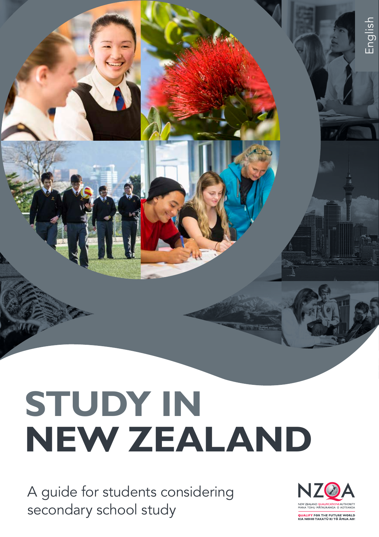

# **STUDY IN NEW ZEALAND**

A guide for students considering secondary school study

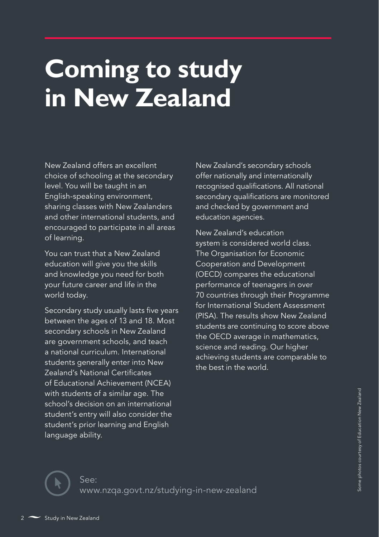## **Coming to study in New Zealand**

New Zealand offers an excellent choice of schooling at the secondary level. You will be taught in an English-speaking environment, sharing classes with New Zealanders and other international students, and encouraged to participate in all areas of learning.

You can trust that a New Zealand education will give you the skills and knowledge you need for both your future career and life in the world today.

Secondary study usually lasts five years between the ages of 13 and 18. Most secondary schools in New Zealand are government schools, and teach a national curriculum. International students generally enter into New Zealand's National Certificates of Educational Achievement (NCEA) with students of a similar age. The school's decision on an international student's entry will also consider the student's prior learning and English language ability.

New Zealand's secondary schools offer nationally and internationally recognised qualifications. All national secondary qualifications are monitored and checked by government and education agencies.

New Zealand's education system is considered world class. The Organisation for Economic Cooperation and Development (OECD) compares the educational performance of teenagers in over 70 countries through their Programme for International Student Assessment (PISA). The results show New Zealand students are continuing to score above the OECD average in mathematics, science and reading. Our higher achieving students are comparable to the best in the world.

See: www.nzqa.govt.nz/studying-in-new-zealand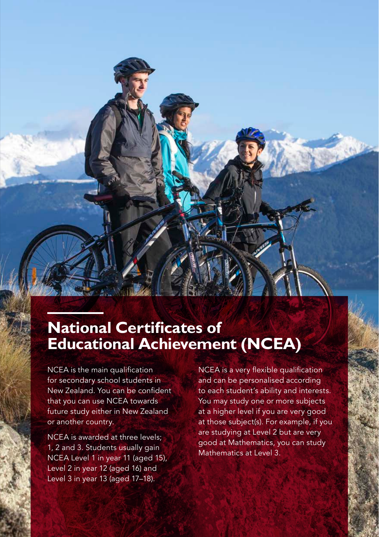## **National Certificates of Educational Achievement (NCEA)**

NCEA is the main qualification for secondary school students in New Zealand. You can be confident that you can use NCEA towards future study either in New Zealand or another country.

NCEA is awarded at three levels; 1, 2 and 3. Students usually gain NCEA Level 1 in year 11 (aged 15), Level 2 in year 12 (aged 16) and Level 3 in year 13 (aged 17–18).

NCEA is a very flexible qualification and can be personalised according to each student's ability and interests. You may study one or more subjects at a higher level if you are very good at those subject(s). For example, if you are studying at Level 2 but are very good at Mathematics, you can study Mathematics at Level 3.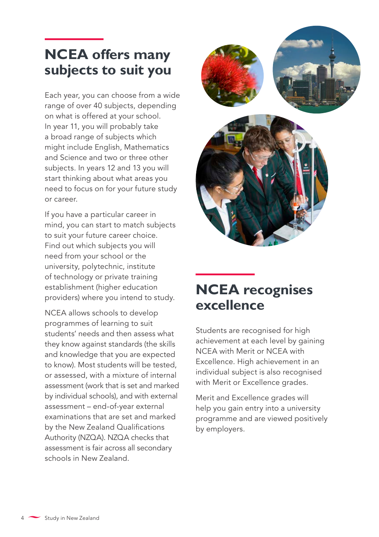## **NCEA offers many subjects to suit you**

Each year, you can choose from a wide range of over 40 subjects, depending on what is offered at your school. In year 11, you will probably take a broad range of subjects which might include English, Mathematics and Science and two or three other subjects. In years 12 and 13 you will start thinking about what areas you need to focus on for your future study or career.

If you have a particular career in mind, you can start to match subjects to suit your future career choice. Find out which subjects you will need from your school or the university, polytechnic, institute of technology or private training establishment (higher education providers) where you intend to study.

NCEA allows schools to develop programmes of learning to suit students' needs and then assess what they know against standards (the skills and knowledge that you are expected to know). Most students will be tested, or assessed, with a mixture of internal assessment (work that is set and marked by individual schools), and with external assessment – end-of-year external examinations that are set and marked by the New Zealand Qualifications Authority (NZQA). NZQA checks that assessment is fair across all secondary schools in New Zealand.





Students are recognised for high achievement at each level by gaining NCEA with Merit or NCEA with Excellence. High achievement in an individual subject is also recognised with Merit or Excellence grades.

Merit and Excellence grades will help you gain entry into a university programme and are viewed positively by employers.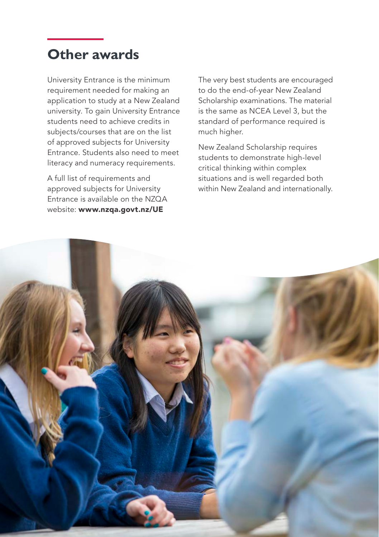### **Other awards**

University Entrance is the minimum requirement needed for making an application to study at a New Zealand university. To gain University Entrance students need to achieve credits in subjects/courses that are on the list of approved subjects for University Entrance. Students also need to meet literacy and numeracy requirements.

A full list of requirements and approved subjects for University Entrance is available on the NZQA website: www.nzqa.govt.nz/UE

The very best students are encouraged to do the end-of-year New Zealand Scholarship examinations. The material is the same as NCEA Level 3, but the standard of performance required is much higher.

New Zealand Scholarship requires students to demonstrate high-level critical thinking within complex situations and is well regarded both within New Zealand and internationally.

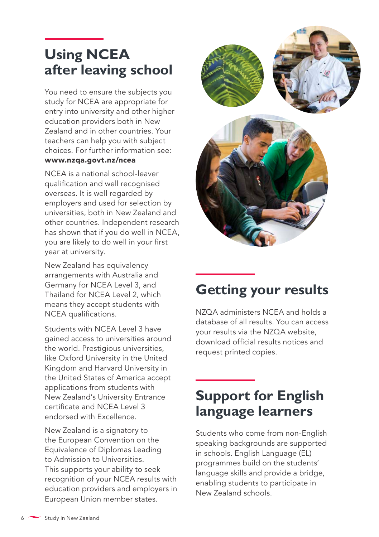## **Using NCEA after leaving school**

You need to ensure the subjects you study for NCEA are appropriate for entry into university and other higher education providers both in New Zealand and in other countries. Your teachers can help you with subject choices. For further information see:

#### www.nzqa.govt.nz/ncea

NCEA is a national school-leaver qualification and well recognised overseas. It is well regarded by employers and used for selection by universities, both in New Zealand and other countries. Independent research has shown that if you do well in NCEA, you are likely to do well in your first year at university.

New Zealand has equivalency arrangements with Australia and Germany for NCEA Level 3, and Thailand for NCEA Level 2, which means they accept students with NCEA qualifications.

Students with NCEA Level 3 have gained access to universities around the world. Prestigious universities, like Oxford University in the United Kingdom and Harvard University in the United States of America accept applications from students with New Zealand's University Entrance certificate and NCEA Level 3 endorsed with Excellence.

New Zealand is a signatory to the European Convention on the Equivalence of Diplomas Leading to Admission to Universities. This supports your ability to seek recognition of your NCEA results with education providers and employers in European Union member states.





## **Getting your results**

NZQA administers NCEA and holds a database of all results. You can access your results via the NZQA website, download official results notices and request printed copies.

## **Support for English language learners**

Students who come from non-English speaking backgrounds are supported in schools. English Language (EL) programmes build on the students' language skills and provide a bridge, enabling students to participate in New Zealand schools.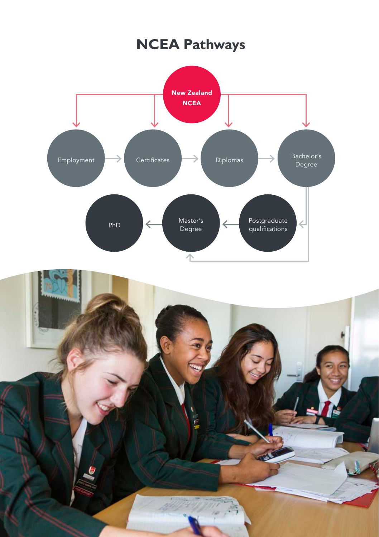## **NCEA Pathways**